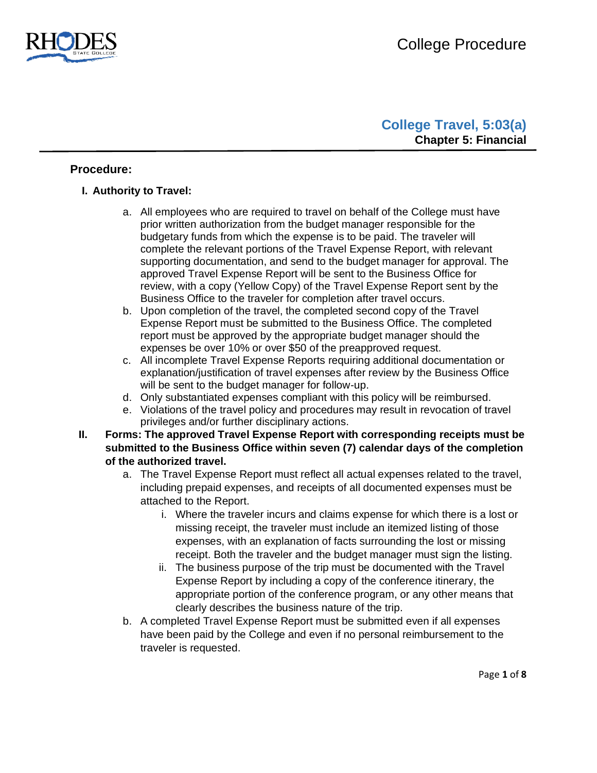

# **College Travel, 5:03(a) Chapter 5: Financial**

# **Procedure:**

# **I. Authority to Travel:**

- a. All employees who are required to travel on behalf of the College must have prior written authorization from the budget manager responsible for the budgetary funds from which the expense is to be paid. The traveler will complete the relevant portions of the Travel Expense Report, with relevant supporting documentation, and send to the budget manager for approval. The approved Travel Expense Report will be sent to the Business Office for review, with a copy (Yellow Copy) of the Travel Expense Report sent by the Business Office to the traveler for completion after travel occurs.
- b. Upon completion of the travel, the completed second copy of the Travel Expense Report must be submitted to the Business Office. The completed report must be approved by the appropriate budget manager should the expenses be over 10% or over \$50 of the preapproved request.
- c. All incomplete Travel Expense Reports requiring additional documentation or explanation/justification of travel expenses after review by the Business Office will be sent to the budget manager for follow-up.
- d. Only substantiated expenses compliant with this policy will be reimbursed.
- e. Violations of the travel policy and procedures may result in revocation of travel privileges and/or further disciplinary actions.
- **II. Forms: The approved Travel Expense Report with corresponding receipts must be submitted to the Business Office within seven (7) calendar days of the completion of the authorized travel.** 
	- a. The Travel Expense Report must reflect all actual expenses related to the travel, including prepaid expenses, and receipts of all documented expenses must be attached to the Report.
		- i. Where the traveler incurs and claims expense for which there is a lost or missing receipt, the traveler must include an itemized listing of those expenses, with an explanation of facts surrounding the lost or missing receipt. Both the traveler and the budget manager must sign the listing.
		- ii. The business purpose of the trip must be documented with the Travel Expense Report by including a copy of the conference itinerary, the appropriate portion of the conference program, or any other means that clearly describes the business nature of the trip.
	- b. A completed Travel Expense Report must be submitted even if all expenses have been paid by the College and even if no personal reimbursement to the traveler is requested.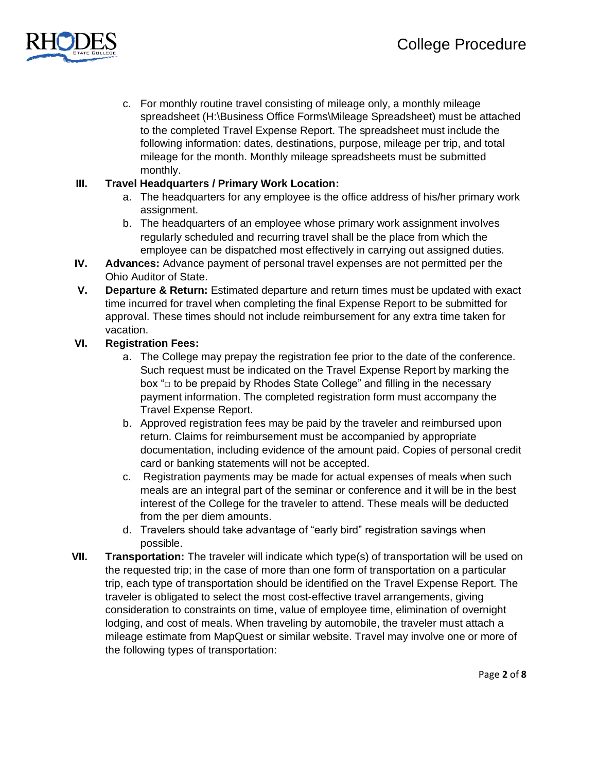

c. For monthly routine travel consisting of mileage only, a monthly mileage spreadsheet (H:\Business Office Forms\Mileage Spreadsheet) must be attached to the completed Travel Expense Report. The spreadsheet must include the following information: dates, destinations, purpose, mileage per trip, and total mileage for the month. Monthly mileage spreadsheets must be submitted monthly.

### **III. Travel Headquarters / Primary Work Location:**

- a. The headquarters for any employee is the office address of his/her primary work assignment.
- b. The headquarters of an employee whose primary work assignment involves regularly scheduled and recurring travel shall be the place from which the employee can be dispatched most effectively in carrying out assigned duties.
- **IV. Advances:** Advance payment of personal travel expenses are not permitted per the Ohio Auditor of State.
- **V. Departure & Return:** Estimated departure and return times must be updated with exact time incurred for travel when completing the final Expense Report to be submitted for approval. These times should not include reimbursement for any extra time taken for vacation.

## **VI. Registration Fees:**

- a. The College may prepay the registration fee prior to the date of the conference. Such request must be indicated on the Travel Expense Report by marking the box "□ to be prepaid by Rhodes State College" and filling in the necessary payment information. The completed registration form must accompany the Travel Expense Report.
- b. Approved registration fees may be paid by the traveler and reimbursed upon return. Claims for reimbursement must be accompanied by appropriate documentation, including evidence of the amount paid. Copies of personal credit card or banking statements will not be accepted.
- c. Registration payments may be made for actual expenses of meals when such meals are an integral part of the seminar or conference and it will be in the best interest of the College for the traveler to attend. These meals will be deducted from the per diem amounts.
- d. Travelers should take advantage of "early bird" registration savings when possible.
- **VII. Transportation:** The traveler will indicate which type(s) of transportation will be used on the requested trip; in the case of more than one form of transportation on a particular trip, each type of transportation should be identified on the Travel Expense Report. The traveler is obligated to select the most cost-effective travel arrangements, giving consideration to constraints on time, value of employee time, elimination of overnight lodging, and cost of meals. When traveling by automobile, the traveler must attach a mileage estimate from MapQuest or similar website. Travel may involve one or more of the following types of transportation: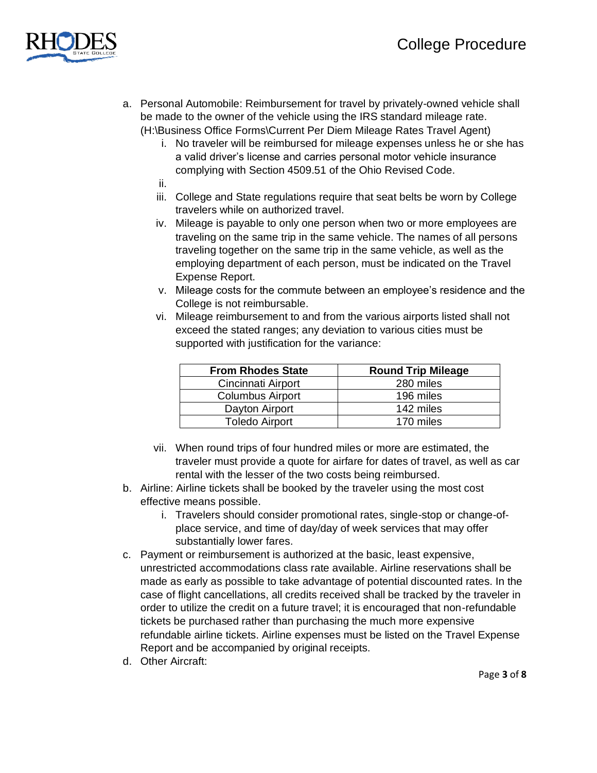

- a. Personal Automobile: Reimbursement for travel by privately-owned vehicle shall be made to the owner of the vehicle using the IRS standard mileage rate. (H:\Business Office Forms\Current Per Diem Mileage Rates Travel Agent)
	- i. No traveler will be reimbursed for mileage expenses unless he or she has a valid driver's license and carries personal motor vehicle insurance complying with Section 4509.51 of the Ohio Revised Code.
	- ii.
	- iii. College and State regulations require that seat belts be worn by College travelers while on authorized travel.
	- iv. Mileage is payable to only one person when two or more employees are traveling on the same trip in the same vehicle. The names of all persons traveling together on the same trip in the same vehicle, as well as the employing department of each person, must be indicated on the Travel Expense Report.
	- v. Mileage costs for the commute between an employee's residence and the College is not reimbursable.
	- vi. Mileage reimbursement to and from the various airports listed shall not exceed the stated ranges; any deviation to various cities must be supported with justification for the variance:

| <b>From Rhodes State</b> | <b>Round Trip Mileage</b> |  |
|--------------------------|---------------------------|--|
| Cincinnati Airport       | 280 miles                 |  |
| <b>Columbus Airport</b>  | 196 miles                 |  |
| Dayton Airport           | 142 miles                 |  |
| <b>Toledo Airport</b>    | 170 miles                 |  |

- vii. When round trips of four hundred miles or more are estimated, the traveler must provide a quote for airfare for dates of travel, as well as car rental with the lesser of the two costs being reimbursed.
- b. Airline: Airline tickets shall be booked by the traveler using the most cost effective means possible.
	- i. Travelers should consider promotional rates, single-stop or change-ofplace service, and time of day/day of week services that may offer substantially lower fares.
- c. Payment or reimbursement is authorized at the basic, least expensive, unrestricted accommodations class rate available. Airline reservations shall be made as early as possible to take advantage of potential discounted rates. In the case of flight cancellations, all credits received shall be tracked by the traveler in order to utilize the credit on a future travel; it is encouraged that non-refundable tickets be purchased rather than purchasing the much more expensive refundable airline tickets. Airline expenses must be listed on the Travel Expense Report and be accompanied by original receipts.
- d. Other Aircraft: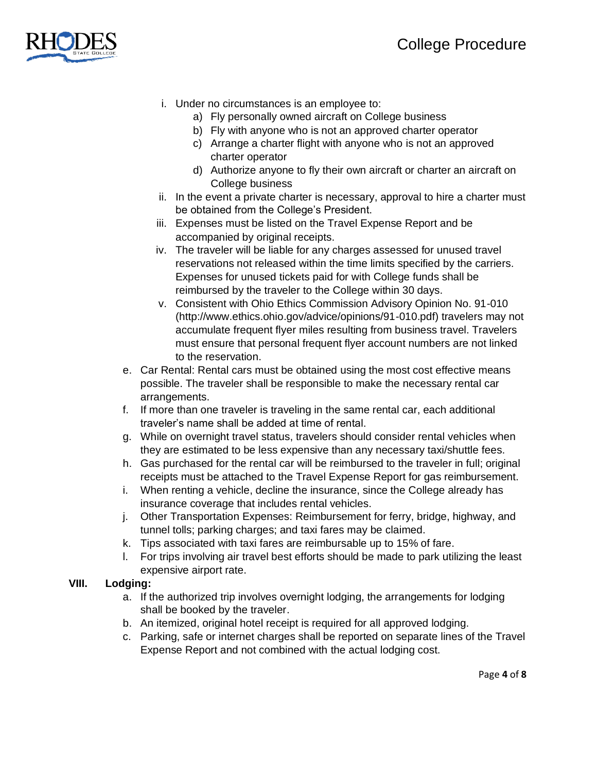

- i. Under no circumstances is an employee to:
	- a) Fly personally owned aircraft on College business
	- b) Fly with anyone who is not an approved charter operator
	- c) Arrange a charter flight with anyone who is not an approved charter operator
	- d) Authorize anyone to fly their own aircraft or charter an aircraft on College business
- ii. In the event a private charter is necessary, approval to hire a charter must be obtained from the College's President.
- iii. Expenses must be listed on the Travel Expense Report and be accompanied by original receipts.
- iv. The traveler will be liable for any charges assessed for unused travel reservations not released within the time limits specified by the carriers. Expenses for unused tickets paid for with College funds shall be reimbursed by the traveler to the College within 30 days.
- v. Consistent with Ohio Ethics Commission Advisory Opinion No. 91-010 (http://www.ethics.ohio.gov/advice/opinions/91-010.pdf) travelers may not accumulate frequent flyer miles resulting from business travel. Travelers must ensure that personal frequent flyer account numbers are not linked to the reservation.
- e. Car Rental: Rental cars must be obtained using the most cost effective means possible. The traveler shall be responsible to make the necessary rental car arrangements.
- f. If more than one traveler is traveling in the same rental car, each additional traveler's name shall be added at time of rental.
- g. While on overnight travel status, travelers should consider rental vehicles when they are estimated to be less expensive than any necessary taxi/shuttle fees.
- h. Gas purchased for the rental car will be reimbursed to the traveler in full; original receipts must be attached to the Travel Expense Report for gas reimbursement.
- i. When renting a vehicle, decline the insurance, since the College already has insurance coverage that includes rental vehicles.
- j. Other Transportation Expenses: Reimbursement for ferry, bridge, highway, and tunnel tolls; parking charges; and taxi fares may be claimed.
- k. Tips associated with taxi fares are reimbursable up to 15% of fare.
- l. For trips involving air travel best efforts should be made to park utilizing the least expensive airport rate.

## **VIII. Lodging:**

- a. If the authorized trip involves overnight lodging, the arrangements for lodging shall be booked by the traveler.
- b. An itemized, original hotel receipt is required for all approved lodging.
- c. Parking, safe or internet charges shall be reported on separate lines of the Travel Expense Report and not combined with the actual lodging cost.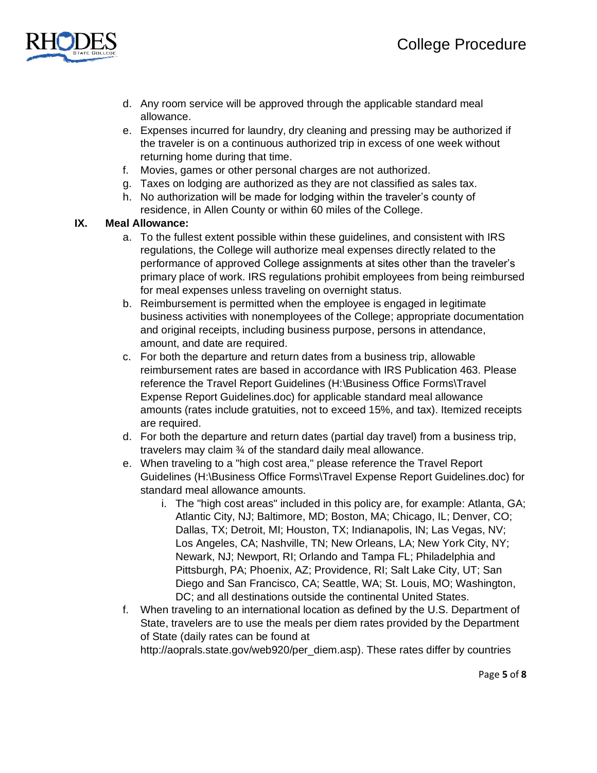

- d. Any room service will be approved through the applicable standard meal allowance.
- e. Expenses incurred for laundry, dry cleaning and pressing may be authorized if the traveler is on a continuous authorized trip in excess of one week without returning home during that time.
- f. Movies, games or other personal charges are not authorized.
- g. Taxes on lodging are authorized as they are not classified as sales tax.
- h. No authorization will be made for lodging within the traveler's county of residence, in Allen County or within 60 miles of the College.

### **IX. Meal Allowance:**

- a. To the fullest extent possible within these guidelines, and consistent with IRS regulations, the College will authorize meal expenses directly related to the performance of approved College assignments at sites other than the traveler's primary place of work. IRS regulations prohibit employees from being reimbursed for meal expenses unless traveling on overnight status.
- b. Reimbursement is permitted when the employee is engaged in legitimate business activities with nonemployees of the College; appropriate documentation and original receipts, including business purpose, persons in attendance, amount, and date are required.
- c. For both the departure and return dates from a business trip, allowable reimbursement rates are based in accordance with IRS Publication 463. Please reference the Travel Report Guidelines (H:\Business Office Forms\Travel Expense Report Guidelines.doc) for applicable standard meal allowance amounts (rates include gratuities, not to exceed 15%, and tax). Itemized receipts are required.
- d. For both the departure and return dates (partial day travel) from a business trip, travelers may claim ¾ of the standard daily meal allowance.
- e. When traveling to a "high cost area," please reference the Travel Report Guidelines (H:\Business Office Forms\Travel Expense Report Guidelines.doc) for standard meal allowance amounts.
	- i. The "high cost areas" included in this policy are, for example: Atlanta, GA; Atlantic City, NJ; Baltimore, MD; Boston, MA; Chicago, IL; Denver, CO; Dallas, TX; Detroit, MI; Houston, TX; Indianapolis, IN; Las Vegas, NV; Los Angeles, CA; Nashville, TN; New Orleans, LA; New York City, NY; Newark, NJ; Newport, RI; Orlando and Tampa FL; Philadelphia and Pittsburgh, PA; Phoenix, AZ; Providence, RI; Salt Lake City, UT; San Diego and San Francisco, CA; Seattle, WA; St. Louis, MO; Washington, DC; and all destinations outside the continental United States.
- f. When traveling to an international location as defined by the U.S. Department of State, travelers are to use the meals per diem rates provided by the Department of State (daily rates can be found at

http://aoprals.state.gov/web920/per\_diem.asp). These rates differ by countries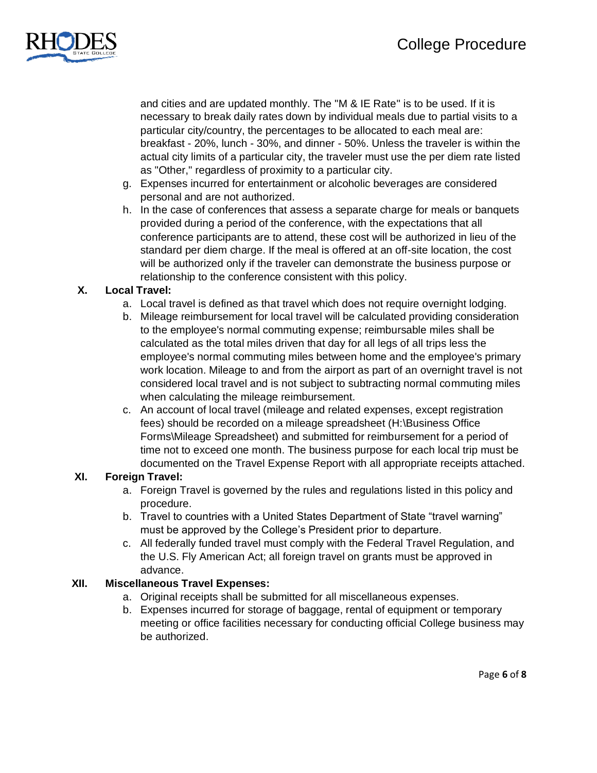

and cities and are updated monthly. The "M & IE Rate" is to be used. If it is necessary to break daily rates down by individual meals due to partial visits to a particular city/country, the percentages to be allocated to each meal are: breakfast - 20%, lunch - 30%, and dinner - 50%. Unless the traveler is within the actual city limits of a particular city, the traveler must use the per diem rate listed as "Other," regardless of proximity to a particular city.

- g. Expenses incurred for entertainment or alcoholic beverages are considered personal and are not authorized.
- h. In the case of conferences that assess a separate charge for meals or banquets provided during a period of the conference, with the expectations that all conference participants are to attend, these cost will be authorized in lieu of the standard per diem charge. If the meal is offered at an off-site location, the cost will be authorized only if the traveler can demonstrate the business purpose or relationship to the conference consistent with this policy.

### **X. Local Travel:**

- a. Local travel is defined as that travel which does not require overnight lodging.
- b. Mileage reimbursement for local travel will be calculated providing consideration to the employee's normal commuting expense; reimbursable miles shall be calculated as the total miles driven that day for all legs of all trips less the employee's normal commuting miles between home and the employee's primary work location. Mileage to and from the airport as part of an overnight travel is not considered local travel and is not subject to subtracting normal commuting miles when calculating the mileage reimbursement.
- c. An account of local travel (mileage and related expenses, except registration fees) should be recorded on a mileage spreadsheet (H:\Business Office Forms\Mileage Spreadsheet) and submitted for reimbursement for a period of time not to exceed one month. The business purpose for each local trip must be documented on the Travel Expense Report with all appropriate receipts attached.

#### **XI. Foreign Travel:**

- a. Foreign Travel is governed by the rules and regulations listed in this policy and procedure.
- b. Travel to countries with a United States Department of State "travel warning" must be approved by the College's President prior to departure.
- c. All federally funded travel must comply with the Federal Travel Regulation, and the U.S. Fly American Act; all foreign travel on grants must be approved in advance.

#### **XII. Miscellaneous Travel Expenses:**

- a. Original receipts shall be submitted for all miscellaneous expenses.
- b. Expenses incurred for storage of baggage, rental of equipment or temporary meeting or office facilities necessary for conducting official College business may be authorized.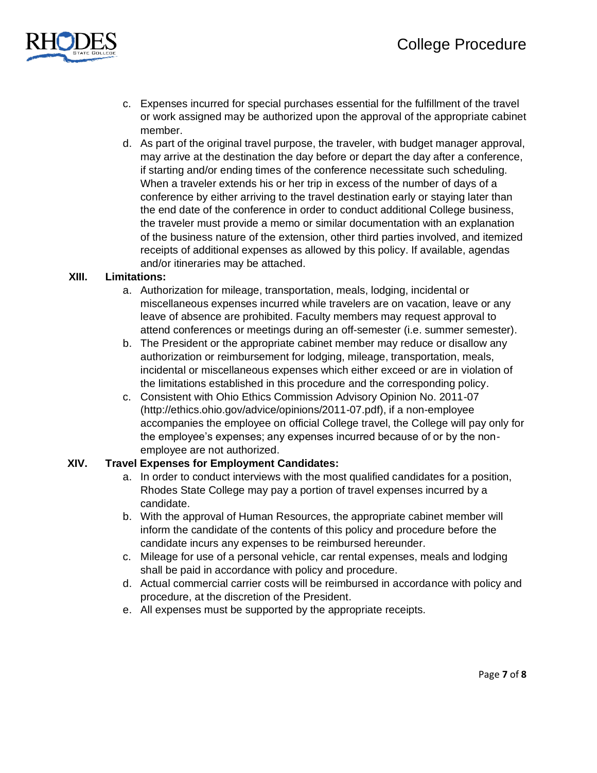

- c. Expenses incurred for special purchases essential for the fulfillment of the travel or work assigned may be authorized upon the approval of the appropriate cabinet member.
- d. As part of the original travel purpose, the traveler, with budget manager approval, may arrive at the destination the day before or depart the day after a conference, if starting and/or ending times of the conference necessitate such scheduling. When a traveler extends his or her trip in excess of the number of days of a conference by either arriving to the travel destination early or staying later than the end date of the conference in order to conduct additional College business, the traveler must provide a memo or similar documentation with an explanation of the business nature of the extension, other third parties involved, and itemized receipts of additional expenses as allowed by this policy. If available, agendas and/or itineraries may be attached.

### **XIII. Limitations:**

- a. Authorization for mileage, transportation, meals, lodging, incidental or miscellaneous expenses incurred while travelers are on vacation, leave or any leave of absence are prohibited. Faculty members may request approval to attend conferences or meetings during an off-semester (i.e. summer semester).
- b. The President or the appropriate cabinet member may reduce or disallow any authorization or reimbursement for lodging, mileage, transportation, meals, incidental or miscellaneous expenses which either exceed or are in violation of the limitations established in this procedure and the corresponding policy.
- c. Consistent with Ohio Ethics Commission Advisory Opinion No. 2011-07 (http://ethics.ohio.gov/advice/opinions/2011-07.pdf), if a non-employee accompanies the employee on official College travel, the College will pay only for the employee's expenses; any expenses incurred because of or by the nonemployee are not authorized.

#### **XIV. Travel Expenses for Employment Candidates:**

- a. In order to conduct interviews with the most qualified candidates for a position, Rhodes State College may pay a portion of travel expenses incurred by a candidate.
- b. With the approval of Human Resources, the appropriate cabinet member will inform the candidate of the contents of this policy and procedure before the candidate incurs any expenses to be reimbursed hereunder.
- c. Mileage for use of a personal vehicle, car rental expenses, meals and lodging shall be paid in accordance with policy and procedure.
- d. Actual commercial carrier costs will be reimbursed in accordance with policy and procedure, at the discretion of the President.
- e. All expenses must be supported by the appropriate receipts.